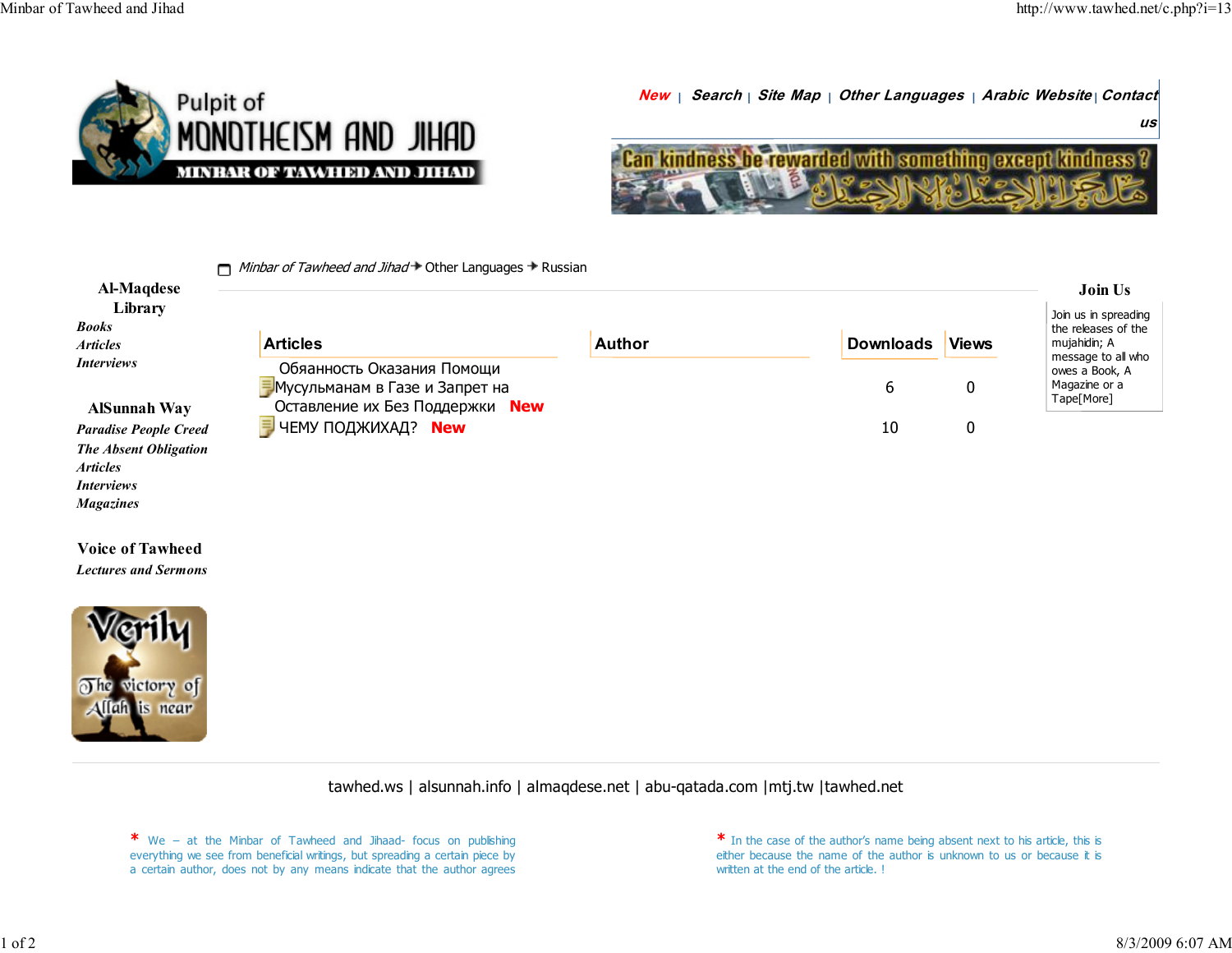

New  $\mid$  Search  $\mid$  Site Map  $\mid$  Other Languages  $\mid$  Arabic Website $\mid$  Contact

us



|                                                     | Minbar of Tawheed and Jihad $\rightarrow$ Other Languages $\rightarrow$ Russian |               |                  |              |                                                       |
|-----------------------------------------------------|---------------------------------------------------------------------------------|---------------|------------------|--------------|-------------------------------------------------------|
| <b>Al-Magdese</b><br>Library                        |                                                                                 |               |                  |              | <b>Join Us</b><br>Join us in spreading                |
| <b>Books</b><br><b>Articles</b>                     | <b>Articles</b>                                                                 | <b>Author</b> | <b>Downloads</b> | <b>Views</b> | the releases of the<br>mujahidin; A                   |
| <b>Interviews</b>                                   | Обяанность Оказания Помощи<br><b>Иусульманам в Газе и Запрет на</b>             |               | ь                |              | message to all who<br>owes a Book, A<br>Magazine or a |
| <b>AlSunnah Way</b><br><b>Paradise People Creed</b> | Оставление их Без Поддержки <b>New</b><br><b>E</b> ЧЕМУ ПОДЖИХАД? New           |               | 10               |              | Tape[More]                                            |
| The Absent Obligation                               |                                                                                 |               |                  |              |                                                       |
| <b>Articles</b><br><i>Interviews</i>                |                                                                                 |               |                  |              |                                                       |

Voice of TawheedLectures and Sermons

Magazines



tawhed.ws | alsunnah.info | almaqdese.net | abu-qatada.com |mtj.tw |tawhed.net

\* We – at the Minbar of Tawheed and Jihaad- focus on publishing everything we see from beneficial writings, but spreading a certain piece by a certain author, does not by any means indicate that the author agrees

\* In the case of the author's name being absent next to his article, this is either because the name of the author is unknown to us or because it iswritten at the end of the article. !

1 of 2